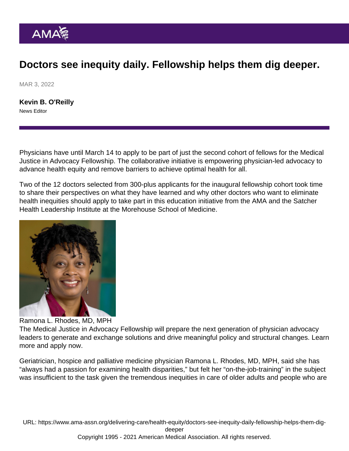## Doctors see inequity daily. Fellowship helps them dig deeper.

MAR 3, 2022

[Kevin B. O'Reilly](https://www.ama-assn.org/news-leadership-viewpoints/authors-news-leadership-viewpoints/kevin-b-oreilly) News Editor

Physicians have until March 14 to apply to be part of just the second cohort of fellows for the [Medical](https://www.ama-assn.org/delivering-care/health-equity/medical-justice-advocacy-fellowship) [Justice in Advocacy Fellowship](https://www.ama-assn.org/delivering-care/health-equity/medical-justice-advocacy-fellowship). The collaborative initiative is empowering physician-led advocacy to advance health equity and remove barriers to achieve optimal health for all.

Two of the [12 doctors selected](https://www.ama-assn.org/delivering-care/health-equity/medical-justice-advocacy-fellows) from 300-plus applicants for the inaugural fellowship cohort took time to share their perspectives on what they have learned and why other doctors who want to eliminate health inequities should apply to take part in this education initiative from the AMA and the [Satcher](https://satcherinstitute.org/) [Health Leadership Institute](https://satcherinstitute.org/) at the Morehouse School of Medicine.

## Ramona L. Rhodes, MD, MPH

The Medical Justice in Advocacy Fellowship will prepare the next generation of physician advocacy leaders to generate and exchange solutions and drive meaningful policy and structural changes. [Learn](https://satcherinstitute.org/programs/ama-shli-medical-justice-in-advocacy-fellowship/) [more and apply now](https://satcherinstitute.org/programs/ama-shli-medical-justice-in-advocacy-fellowship/).

Geriatrician, hospice and palliative medicine physician [Ramona L. Rhodes, MD, MPH,](https://www.ama-assn.org/system/files/mja-fellow-bio-ramona-rhodes.pdf) said she has "always had a passion for examining health disparities," but felt her "on-the-job-training" in the subject was insufficient to the task given the tremendous inequities in care of older adults and people who are

URL: [https://www.ama-assn.org/delivering-care/health-equity/doctors-see-inequity-daily-fellowship-helps-them-dig](https://www.ama-assn.org/delivering-care/health-equity/doctors-see-inequity-daily-fellowship-helps-them-dig-deeper)[deeper](https://www.ama-assn.org/delivering-care/health-equity/doctors-see-inequity-daily-fellowship-helps-them-dig-deeper)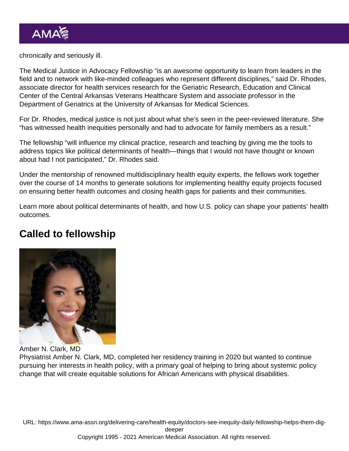chronically and seriously ill.

The Medical Justice in Advocacy Fellowship "is an awesome opportunity to learn from leaders in the field and to network with like-minded colleagues who represent different disciplines," said Dr. Rhodes, associate director for health services research for the Geriatric Research, Education and Clinical Center of the Central Arkansas Veterans Healthcare System and associate professor in the Department of Geriatrics at the University of Arkansas for Medical Sciences.

For Dr. Rhodes, medical justice is not just about what she's seen in the peer-reviewed literature. She "has witnessed health inequities personally and had to advocate for family members as a result."

The fellowship "will influence my clinical practice, research and teaching by giving me the tools to address topics like [political determinants of health](https://www.ama-assn.org/delivering-care/health-equity/prioritizing-equity-video-series-political-determinants-health)—things that I would not have thought or known about had I not participated," Dr. Rhodes said.

Under the mentorship of renowned multidisciplinary health equity experts, the fellows work together over the course of 14 months to generate solutions for implementing healthy equity projects focused on ensuring better health outcomes and closing health gaps for patients and their communities.

Learn more about political determinants of health, and [how U.S. policy can shape your patients' health](https://www.ama-assn.org/delivering-care/health-equity/how-us-policy-can-shape-your-patients-health-outcomes) [outcomes](https://www.ama-assn.org/delivering-care/health-equity/how-us-policy-can-shape-your-patients-health-outcomes).

## Called to fellowship

Amber N. Clark, MD

Physiatrist [Amber N. Clark, MD](https://www.ama-assn.org/system/files/mja-fellow-bio-amber-clark.pdf), completed her residency training in 2020 but wanted to continue pursuing her interests in health policy, with a primary goal of helping to bring about systemic policy change that will create equitable solutions for African Americans with physical disabilities.

URL: [https://www.ama-assn.org/delivering-care/health-equity/doctors-see-inequity-daily-fellowship-helps-them-dig](https://www.ama-assn.org/delivering-care/health-equity/doctors-see-inequity-daily-fellowship-helps-them-dig-deeper)[deeper](https://www.ama-assn.org/delivering-care/health-equity/doctors-see-inequity-daily-fellowship-helps-them-dig-deeper) Copyright 1995 - 2021 American Medical Association. All rights reserved.